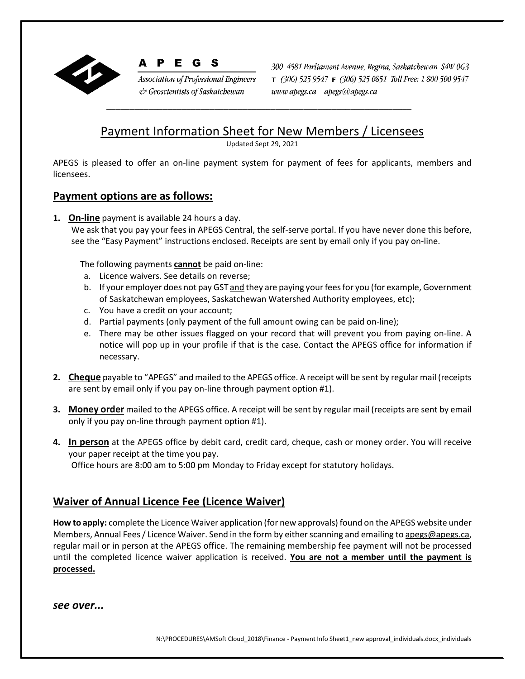

**Association of Professional Engineers**  $\mathcal{O}$  Geoscientists of Saskatchewan

E G S

300 4581 Parliament Avenue, Regina, Saskatchewan S4W 0G3  $\tau$  (306) 525 9547  $\epsilon$  (306) 525 0851 Toll Free: 1 800 500 9547  $www. apegs.ca - apegs@apegs.ca$ 

# Payment Information Sheet for New Members / Licensees

\_\_\_\_\_\_\_\_\_\_\_\_\_\_\_\_\_\_\_\_\_\_\_\_\_\_\_\_\_\_\_\_\_\_\_\_\_\_\_\_\_\_\_\_\_\_\_\_\_\_\_\_\_\_\_\_\_\_\_\_\_\_\_\_\_

Updated Sept 29, 2021

APEGS is pleased to offer an on-line payment system for payment of fees for applicants, members and licensees.

# **Payment options are as follows:**

**1. On-line** payment is available 24 hours a day.

We ask that you pay your fees in APEGS Central, the self-serve portal. If you have never done this before, see the "Easy Payment" instructions enclosed. Receipts are sent by email only if you pay on-line.

The following payments **cannot** be paid on-line:

- a. Licence waivers. See details on reverse;
- b. If your employer does not pay GST and they are paying your fees for you (for example, Government of Saskatchewan employees, Saskatchewan Watershed Authority employees, etc);
- c. You have a credit on your account;
- d. Partial payments (only payment of the full amount owing can be paid on-line);
- e. There may be other issues flagged on your record that will prevent you from paying on-line. A notice will pop up in your profile if that is the case. Contact the APEGS office for information if necessary.
- **2. Cheque** payable to "APEGS" and mailed to the APEGS office. A receipt will be sent by regular mail (receipts are sent by email only if you pay on-line through payment option #1).
- **3. Money order** mailed to the APEGS office. A receipt will be sent by regular mail (receipts are sent by email only if you pay on-line through payment option #1).
- **4. In person** at the APEGS office by debit card, credit card, cheque, cash or money order. You will receive your paper receipt at the time you pay.

Office hours are 8:00 am to 5:00 pm Monday to Friday except for statutory holidays.

# **Waiver of Annual Licence Fee (Licence Waiver)**

**How to apply:** complete the Licence Waiver application (for new approvals) found on the APEGS website under Members, Annual Fees / Licence Waiver. Send in the form by either scanning and emailing to [apegs@apegs.ca,](mailto:apegs@apegs.ca) regular mail or in person at the APEGS office. The remaining membership fee payment will not be processed until the completed licence waiver application is received. **You are not a member until the payment is processed.**

*see over...*